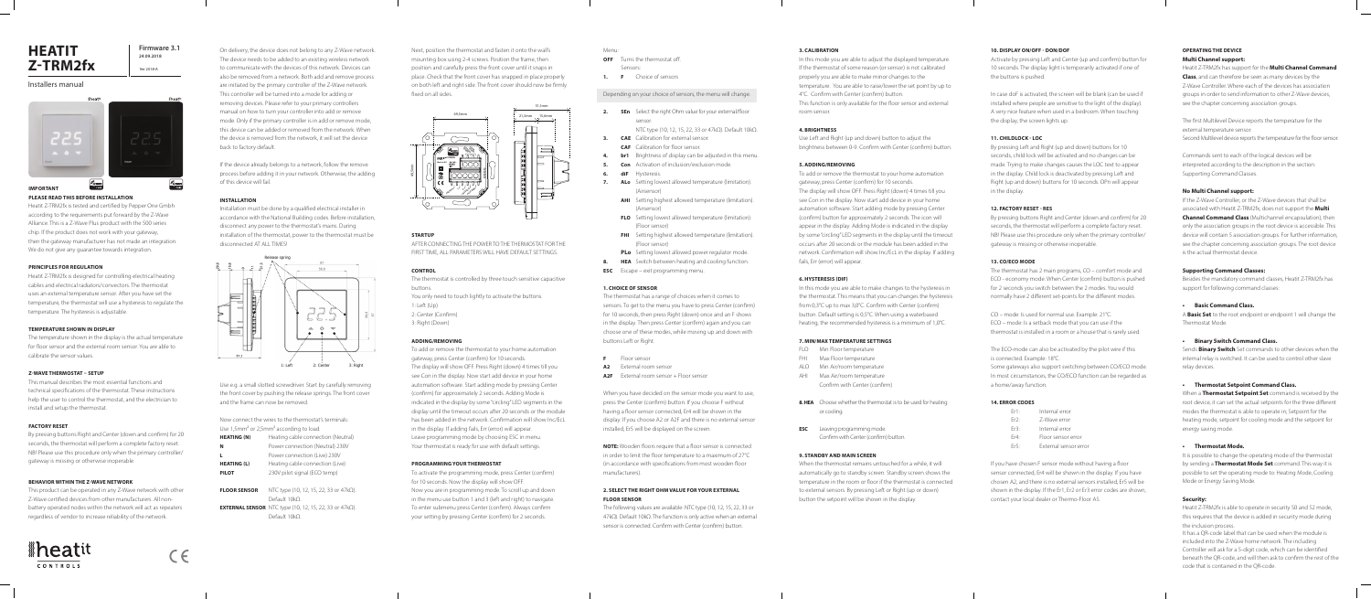#### **IMPORTANT**

#### **PLEASE READ THIS BEFORE INSTALLATION**

Heatit Z-TRM2fx is tested and certified by Pepper One Gmbh according to the requirements put forward by the Z-Wave Alliance. This is a Z-Wave Plus product with the 500 series chip. If the product does not work with your gateway, then the gateway manufacturer has not made an integration. We do not give any guarantee towards integration.

#### **PRINCIPLES FOR REGULATION**

Heatit Z-TRM2fx is designed for controlling electrical heating cables and electrical radiators/convectors. The thermostat uses an external temperature sensor. After you have set the temperature, the thermostat will use a hysteresis to regulate the temperature. The hysteresis is adjustable.

#### **TEMPERATURE SHOWN IN DISPLAY**

The temperature shown in the display is the actual temperature for floor sensor and the external room sensor. You are able to calibrate the sensor values.

#### **Z-WAVE THERMOSTAT – SETUP**

This manual describes the most essential functions and technical specifications of the thermostat. These instructions help the user to control the thermostat, and the electrician to install and setup the thermostat.

#### **FACTORY RESET**

By pressing buttons Right and Center (down and confirm) for 20 seconds, the thermostat will perform a complete factory reset. NB! Please use this procedure only when the primary controller/ gateway is missing or otherwise inoperable.

#### **BEHAVIOR WITHIN THE Z-WAVE NETWORK**

Now connect the wires to the thermostat's terminals: Use 1,5mm<sup>2</sup> or 2,5mm<sup>2</sup> according to load.

This product can be operated in any Z-Wave network with other Z-Wave certified devices from other manufacturers. All nonbattery operated nodes within the network will act as repeaters regardless of vendor to increase reliability of the network.

# *<u>Aheatit</u>* CONTROLS



On delivery, the device does not belong to any Z-Wave network. The device needs to be added to an existing wireless network to communicate with the devices of this network. Devices can also be removed from a network. Both add and remove process are initiated by the primary controller of the Z-Wave network. This controller will be turned into a mode for adding or removing devices. Please refer to your primary controllers manual on how to turn your controller into add or remove mode. Only if the primary controller is in add or remove mode, this device can be added or removed from the network. When the device is removed from the network, it will set the device back to factory default.

If the device already belongs to a network, follow the remove process before adding it in your network. Otherwise, the adding of this device will fail.

#### **INSTALLATION**

Installation must be done by a qualified electrical installer in accordance with the National Building codes. Before installation, disconnect any power to the thermostat's mains. During installation of the thermostat, power to the thermostat must be disconnected AT ALL TIMES!

**2.** SEn Select the right Ohm value for your external/floor sensor.

Use e.g. a small slotted screwdriver. Start by carefully removing the front cover by pushing the release springs. The front cover and the frame can now be removed.

| <b>HEATING (N)</b>  | Heating cable connection (Neutral)                                     |
|---------------------|------------------------------------------------------------------------|
| N                   | Power connection (Neutral) 230V                                        |
| L                   | Power connection (Live) 230V                                           |
| <b>HEATING (L)</b>  | Heating cable connection (Live)                                        |
| <b>PILOT</b>        | 230V pilot signal (ECO temp)                                           |
|                     |                                                                        |
| <b>FLOOR SENSOR</b> | NTC type (10, 12, 15, 22, 33 or $47k\Omega$ ).                         |
|                     | Default 10kO                                                           |
|                     | <b>EXTERNAL SENSOR</b> NTC type (10, 12, 15, 22, 33 or 47k $\Omega$ ). |

- **A2** External room sensor
- **A2F** External room sensor + Floor sensor

Default 10kΩ.

# **HEATIT Z-TRM2fx**



#### Installers manual





Ver 2018-A

Next, position the thermostat and fasten it onto the wall's mounting box using 2-4 screws. Position the frame, then position and carefully press the front cover until it snaps in place. Check that the front cover has snapped in place properly on both left and right side. The front cover should now be firmly fixed on all sides.

**STARTUP**

In this mode you are able to adjust the displayed temperature. If the thermostat of some reason (or sensor) is not calibrated properly you are able to make minor changes to the temperature. You are able to raise/lower the set point by up to 4°C. Confirm with Center (confirm) button. This function is only available for the floor sensor and external room sensor.

AFTER CONNECTING THE POWER TO THE THERMOSTAT FOR THE FIRST TIME, ALL PARAMETERS WILL HAVE DEFAULT SETTINGS.

#### **CONTROL**

| The thermostat is controlled by three touch sensitive capacitive                                                                                                                                                               |  |
|--------------------------------------------------------------------------------------------------------------------------------------------------------------------------------------------------------------------------------|--|
| buttons.                                                                                                                                                                                                                       |  |
| You only need to touch lightly to activate the buttons.                                                                                                                                                                        |  |
| $1:$ Left $(Up)$                                                                                                                                                                                                               |  |
| 2: Center (Confirm)                                                                                                                                                                                                            |  |
| 3: Right (Down)                                                                                                                                                                                                                |  |
|                                                                                                                                                                                                                                |  |
| <b>ADDING/REMOVING</b>                                                                                                                                                                                                         |  |
| 그는 아이에 이 사람들은 아이들이 아니라 아이들이 아니라 아이들이 아니라 아이들이 아니라 아이들이 아니라 아이들이 아니라 아이들이 아니라 아이들이 아니라 아이들이 아니라 아이들이 아니라 아이들이 아니라 아이들이 아니라 아이들이 아니라 아이들이 아니라 아이들이 아니라 아이들이 아니라 아이들이 아니라 아이들이 아니라 아이들이 아니라 아이들이 아니라 아이들이 아니라 아이들이 아니라 아이들이 아니라 아 |  |

In this mode you are able to make changes to the hysteresis in the thermostat. This means that you can changes the hysteresis from 0,3°C up to max 3,0°C. Confirm with Center (confirm) button. Default setting is 0,5°C. When using a waterbased heating, the recommended hysteresis is a minimum of 1,0°C.

To add or remove the thermostat to your home automation gateway, press Center (confirm) for 10 seconds. The display will show OFF. Press Right (down) 4 times till you see Con in the display. Now start add device in your home automation software. Start adding mode by pressing Center (confirm) for approximately 2 seconds. Adding Mode is indicated in the display by some "circling" LED segments in the display until the timeout occurs after 20 seconds or the module has been added in the network. Confirmation will show Inc/EcL in the display. If adding fails, Err (error) will appear. Leave programming mode by choosing ESC in menu. Your thermostat is ready for use with default settings.

#### **PROGRAMMING YOUR THERMOSTAT**

In case doF is activated, the screen will be blank (can be used if installed where people are sensitive to the light of the display). A very nice feature when used in a bedroom. When touching the display, the screen lights up.

To activate the programming mode, press Center (confirm) for 10 seconds. Now the display will show OFF. Now you are in programming mode. To scroll up and down in the menu use button 1 and 3 (left and right) to navigate. To enter submenu press Center (confirm). Always confirm your setting by pressing Center (confirm) for 2 seconds.





#### Menu:

**OFF** Turns the thermostat off.

- Sensors:
- **1. F** Choice of sensors

Depending on your choice of sensors, the menu will change.

NTC type (10, 12, 15, 22, 33 or 47kΩ). Default 10kΩ.

- **3. CAE** Calibration for external sensor.
	- **CAF** Calibration for floor sensor.
- **4. br1** Brightness of display can be adjusted in this menu.
- **5. Con** Activation of inclusion/exclusion mode.
- **6. diF** Hysteresis.
- **7. ALo** Setting lowest allowed temperature (limitation). (Airsensor)
	- **AHI** Setting highest allowed temperature (limitation). (Airsensor)
	- **FLO** Setting lowest allowed temperature (limitation). (Floor sensor)
	- **FHI** Setting highest allowed temperature (limitation). (Floor sensor)
	- **PLo** Setting lowest allowed power regulator mode.
- **8. HEA** Switch between heating and cooling function. **ESC** Escape – exit programming menu.

#### **1. CHOICE OF SENSOR**

The thermostat has a range of choices when it comes to sensors. To get to the menu you have to press Center (confirm) for 10 seconds, then press Right (down) once and an F shows in the display. Then press Center (confirm) again and you can choose one of these modes, while moving up and down with buttons Left or Right.

#### **F** Floor sensor

When you have decided on the sensor mode you want to use, press the Center (confirm) button. If you choose F without having a floor sensor connected, Er4 will be shown in the display. If you choose A2 or A2F and there is no external sensor installed, Er5 will be displayed on the screen.

> It is possible to change the operating mode of the thermostat by sending a **Thermostat Mode Set** command. This way it is possible to set the operating mode to: Heating Mode, Cooling Mode or Energy Saving Mode.

**NOTE:** Wooden floors require that a floor sensor is connected in order to limit the floor temperature to a maximum of 27°C (in accordance with specifications from most wooden floor manufacturers).

#### **2. SELECT THE RIGHT OHM VALUE FOR YOUR EXTERNAL FLOOR SENSOR**

The following values are available: NTC type (10, 12, 15, 22, 33 or 47kΩ). Default 10kΩ. The function is only active when an external sensor is connected. Confirm with Center (confirm) button.

#### **3. CALIBRATION**

#### **4. BRIGHTNESS**

Use Left and Right (up and down) button to adjust the brightness between 0-9. Confirm with Center (confirm) button.

#### **5. ADDING/REMOVING**

To add or remove the thermostat to your home automation gateway, press Center (confirm) for 10 seconds. The display will show OFF. Press Right (down) 4 times till you see Con in the display. Now start add device in your home automation software. Start adding mode by pressing Center (confirm) button for approximately 2 seconds. The icon will appear in the display. Adding Mode is indicated in the display by some "circling" LED segments in the display until the timeout occurs after 20 seconds or the module has been added in the network. Confirmation will show Inc/EcL in the display. If adding fails, Err (error) will appear.

#### **6. HYSTERESIS (DIF)**

#### **7. MIN/MAX TEMPERATURE SETTINGS**

- FLO Min Floor temperature
- FHI Max Floor temperature
- ALO Min Air/room temperature
- AHI Max Air/room temperature Confirm with Center (confirm)
- **8. HEA** Choose whether the thermostat is to be used for heating or cooling.
- **ESC** Leaving programming mode. Confirm with Center (confirm) button.

#### **9. STANDBY AND MAIN SCREEN**

When the thermostat remains untouched for a while, it will automatically go to standby screen. Standby screen shows the temperature in the room or floor if the thermostat is connected to external sensors. By pressing Left or Right (up or down) button the setpoint will be shown in the display.

#### **10. DISPLAY ON/OFF - DON/DOF**

Activate by pressing Left and Center (up and confirm) button for 10 seconds. The display light is temporarily activated if one of the buttons is pushed.

#### **11. CHILDLOCK - LOC**

By pressing Left and Right (up and down) buttons for 10 seconds, child lock will be activated and no changes can be made. Trying to make changes causes the LOC text to appear in the display. Child lock is deactivated by pressing Left and Right (up and down) buttons for 10 seconds. OPn will appear in the display.

#### **12. FACTORY RESET - RES**

By pressing buttons Right and Center (down and confirm) for 20 seconds, the thermostat will perform a complete factory reset. NB! Please use this procedure only when the primary controller/ gateway is missing or otherwise inoperable.

#### **13. CO/ECO MODE**

The thermostat has 2 main programs, CO – comfort mode and ECO - economy mode. When Center (confirm) button is pushed for 2 seconds you switch between the 2 modes. You would normally have 2 different set-points for the different modes.

CO – mode: Is used for normal use. Example: 21°C. ECO – mode: Is a setback mode that you can use if the thermostat is installed in a room or a house that is rarely used.

The ECO-mode can also be activated by the pilot wire if this is connected. Example: 18°C.

Some gateways also support switching between CO/ECO mode. In most circumstances, the CO/ECO function can be regarded as a home/away function.

#### **14. ERROR CODES**

| $Fr1$ . | Internal error |
|---------|----------------|
| Fr2.    | 7-Wave error   |
| Fr3:    | Internal error |

- Er4: Floor sensor error
- Er5: External sensor error

If you have chosen F sensor mode without having a floor sensor connected, Er4 will be shown in the display. If you have chosen A2, and there is no external sensors installed, Er5 will be shown in the display. If the Er1, Er2 or Er3 error codes are shown, contact your local dealer or Thermo-Floor AS.

# **OPERATING THE DEVICE**

## **Multi Channel support:**

Heatit Z-TRM2fx has support for the **Multi Channel Command Class**, and can therefore be seen as many devices by the Z-Wave Controller. Where each of the devices has association groups in order to send information to other Z-Wave devices, see the chapter concerning association groups.

The first Multilevel Device reports the temperature for the

external temperature sensor.

Second Multilevel device reports the temperature for the floor sensor.

Commands sent to each of the logical devices will be interpreted according to the description in the section: Supporting Command Classes.

## **No Multi Channel support:**

If the Z-Wave Controller, or the Z-Wave devices that shall be associated with Heatit Z-TRM2fx, does not support the **Multi Channel Command Class** (Multichannel encapsulation), then only the association groups in the root device is accessible. This device will contain 5 association groups. For further information, see the chapter concerning association groups. The root device is the actual thermostat device.

#### **Supporting Command Classes:**

Besides the mandatory command classes, Heatit Z-TRM2fx has support for following command classes:

#### **• Basic Command Class.**

A **Basic Set** to the root endpoint or endpoint 1 will change the

Thermostat Mode.

# **• Binary Switch Command Class.** relay devices.

Sends **Binary Switch** Set commands to other devices when the internal relay is switched. It can be used to control other slave

**• Thermostat Setpoint Command Class.** When a **Thermostat Setpoint Set** command is received by the root device, it can set the actual setpoints for the three different modes the thermostat is able to operate in; Setpoint for the heating mode, setpoint for cooling mode and the setpoint for energy saving mode.

### **• Thermostat Mode.**

# **Security:**

Heatit Z-TRM2fx is able to operate in security S0 and S2 mode, this requires that the device is added in security mode during the inclusion process. It has a QR-code label that can be used when the module is included into the Z-Wave home network. The including Controller will ask for a 5-digit code, which can be identified beneath the QR-code, and will then ask to confirm the rest of the code that is contained in the QR-code.